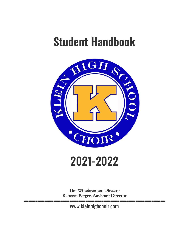# **Student Handbook**



## 2021-2022

Tim Winebrenner, Director Rebecca Berger, Assistant Director

============================================================== www.kleinhighchoir.com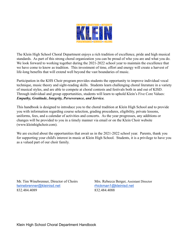

The Klein High School Choral Department enjoys a rich tradition of excellence, pride and high musical standards. As part of this strong choral organization you can be proud of who you are and what you do. We look forward to working together during the 2021-2022 school year to maintain the excellence that we have come to know as tradition. This investment of time, effort and energy will create a harvest of life-long benefits that will extend well beyond the vast boundaries of music.

Participation in the KHS Choir program provides students the opportunity to improve individual vocal technique, music theory and sight-reading skills. Students learn challenging choral literature in a variety of musical styles, and are able to compete at choral contests and festivals both in and out of KISD. Through individual and group opportunities, students will learn to uphold Klein's Five Core Values: *Empathy, Gratitude, Integrity, Perseverance, and Service.*

This handbook is designed to introduce you to the choral tradition at Klein High School and to provide you with information regarding course selection, grading procedures, eligibility, private lessons, uniforms, fees, and a calendar of activities and concerts. As the year progresses, any additions or changes will be provided to you in a timely manner via email or on the Klein Choir website (www.kleinhighchoir.com).

We are excited about the opportunities that await us in the 2021-2022 school year. Parents, thank you for supporting your child's interest in music at Klein High School. Students, it is a privilege to have you as a valued part of our choir family.

Mr. Tim Winebrenner, Director of Choirs Mrs. Rebecca Berger, Assistant Director [twinebrenner@kleinisd.net](mailto:twinebrenner@kleinisd.net) [rhickman1@kleinisd.net](mailto:rhickman1@kleinisd.net) 832.484.4089 832.484.4088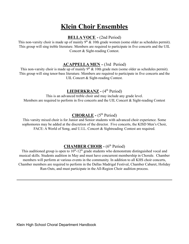### **Klein Choir Ensembles**

#### **BELLA VOCE -** (2nd Period)

This non-varsity choir is made up of mainly  $9<sup>th</sup>$  & 10th grade women (some older as schedules permit). This group will sing treble literature. Members are required to participate in five concerts and the UIL Concert & Sight-reading Contest.

#### **ACAPPELLA MEN -** (3rd Period)

This non-varsity choir is made up of mainly  $9<sup>th</sup>$  & 10th grade men (some older as schedules permit). This group will sing tenor-bass literature. Members are required to participate in five concerts and the UIL Concert & Sight-reading Contest.

#### **LIEDERKRANZ -** (4 th Period)

This is an advanced treble choir and may include any grade level. Members are required to perform in five concerts and the UIL Concert & Sight-reading Contest

#### **CHORALE -** (5 th Period)

This varsity mixed choir is for Junior and Senior students with advanced choir experience. Some sophomores may be added at the discretion of the director. Five concerts, the KISD Men's Choir, FACE: A World of Song, and U.I.L. Concert & Sightreading Contest are required.

#### **CHAMBER CHOIR -** (6 th Period)

This auditioned group is open to  $10^{th}$ -12<sup>th</sup> grade students who demonstrate distinguished vocal and musical skills. Students audition in May and must have concurrent membership in Chorale. Chamber members will perform at various events in the community. In addition to all KHS choir concerts, Chamber members are required to perform in the Dallas Madrigal Festival, Chamber Cabaret, Holiday Run-Outs, and must participate in the All-Region Choir audition process.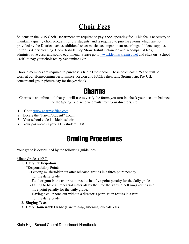## **Choir Fees**

Students in the KHS Choir Department are required to pay a **\$55** operating fee. This fee is necessary to maintain a quality choir program for our students, and is required to purchase items which are not provided by the District such as additional sheet music, accompaniment recordings, folders, supplies, uniforms & dry cleaning, Choir T-shirts, Pop Show T-shirts, clinician and accompanist fees, administrative costs and sound equipment. Please go to [www.kleinhs.kleinisd.net](http://www.kleinhs.kleinisd.net) and click on "School Cash" to pay your choir fee by September 17th.

Chorale members are required to purchase a Klein Choir polo. These polos cost \$25 and will be worn at our Homecoming performance, Region and FACE rehearsals, Spring Trip, Pre-UIL concert and group picture day for the yearbook.

## **Charms**

Charms is an online tool that you will use to verify the forms you turn in, check your account balance for the Spring Trip, receive emails from your directors, etc.

- 1. Go to [www.charmsoffice.com](http://www.charmsoffice.com)
- 2. Locate the "Parent/Student" Login
- 3. Your school code is: kleinhschoir
- 4. Your password is your KHS student ID #.

## Grading Procedures

Your grade is determined by the following guidelines:

#### Minor Grades (40%)

#### 1. **Daily Participation**

- \*Responsibility Points
	- Leaving music/folder out after rehearsal results in a three-point penalty for the daily grade.
	- Food or gum in the choir room results in a five-point penalty for the daily grade
	- Failing to have all rehearsal materials by the time the starting bell rings results in a five-point penalty for the daily grade.
	- -Having a cell phone out without a director's permission results in a zero for the daily grade.
- 2. **Singing Tests**
- 3. **Daily Homework Grade** (Ear-training, listening journals, etc)

Klein High School Choral Department Handbook